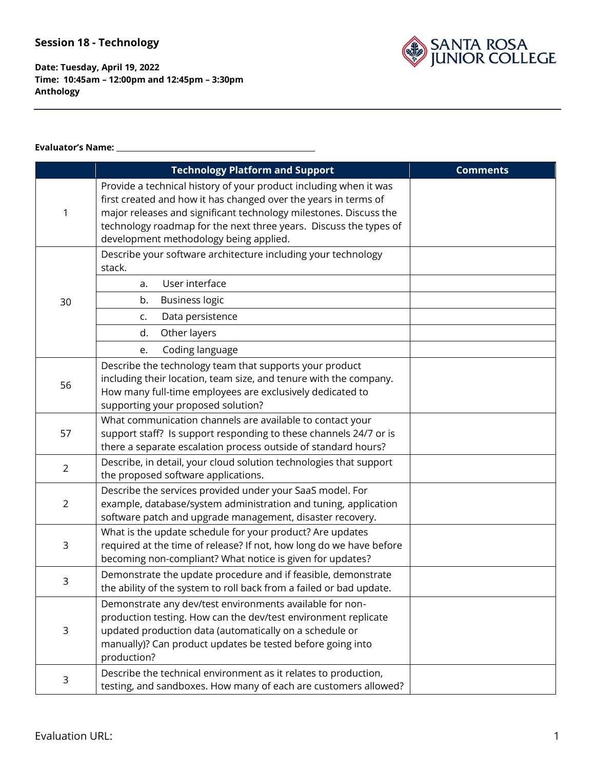

**Date: Tuesday, April 19, 2022 Time: 10:45am – 12:00pm and 12:45pm – 3:30pm Anthology**

#### **Evaluator's Name:**

|                | <b>Technology Platform and Support</b>                                                                                                                                                                                                                                                                                   | <b>Comments</b> |
|----------------|--------------------------------------------------------------------------------------------------------------------------------------------------------------------------------------------------------------------------------------------------------------------------------------------------------------------------|-----------------|
| 1              | Provide a technical history of your product including when it was<br>first created and how it has changed over the years in terms of<br>major releases and significant technology milestones. Discuss the<br>technology roadmap for the next three years. Discuss the types of<br>development methodology being applied. |                 |
|                | Describe your software architecture including your technology<br>stack.                                                                                                                                                                                                                                                  |                 |
|                | User interface<br>a.                                                                                                                                                                                                                                                                                                     |                 |
| 30             | b.<br><b>Business logic</b>                                                                                                                                                                                                                                                                                              |                 |
|                | Data persistence<br>c.                                                                                                                                                                                                                                                                                                   |                 |
|                | Other layers<br>d.                                                                                                                                                                                                                                                                                                       |                 |
|                | Coding language<br>e.                                                                                                                                                                                                                                                                                                    |                 |
| 56             | Describe the technology team that supports your product<br>including their location, team size, and tenure with the company.<br>How many full-time employees are exclusively dedicated to<br>supporting your proposed solution?                                                                                          |                 |
| 57             | What communication channels are available to contact your<br>support staff? Is support responding to these channels 24/7 or is<br>there a separate escalation process outside of standard hours?                                                                                                                         |                 |
| $\overline{2}$ | Describe, in detail, your cloud solution technologies that support<br>the proposed software applications.                                                                                                                                                                                                                |                 |
| $\overline{2}$ | Describe the services provided under your SaaS model. For<br>example, database/system administration and tuning, application<br>software patch and upgrade management, disaster recovery.                                                                                                                                |                 |
| 3              | What is the update schedule for your product? Are updates<br>required at the time of release? If not, how long do we have before<br>becoming non-compliant? What notice is given for updates?                                                                                                                            |                 |
| 3              | Demonstrate the update procedure and if feasible, demonstrate<br>the ability of the system to roll back from a failed or bad update.                                                                                                                                                                                     |                 |
| $\mathsf 3$    | Demonstrate any dev/test environments available for non-<br>production testing. How can the dev/test environment replicate<br>updated production data (automatically on a schedule or<br>manually)? Can product updates be tested before going into<br>production?                                                       |                 |
| 3              | Describe the technical environment as it relates to production,<br>testing, and sandboxes. How many of each are customers allowed?                                                                                                                                                                                       |                 |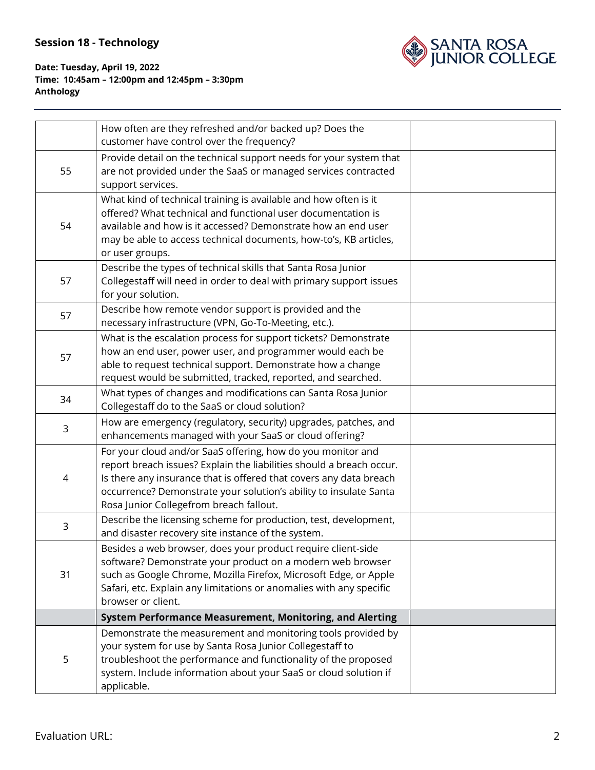

|    | How often are they refreshed and/or backed up? Does the<br>customer have control over the frequency?                                                                                                                                                                                                                      |  |
|----|---------------------------------------------------------------------------------------------------------------------------------------------------------------------------------------------------------------------------------------------------------------------------------------------------------------------------|--|
| 55 | Provide detail on the technical support needs for your system that<br>are not provided under the SaaS or managed services contracted<br>support services.                                                                                                                                                                 |  |
| 54 | What kind of technical training is available and how often is it<br>offered? What technical and functional user documentation is<br>available and how is it accessed? Demonstrate how an end user<br>may be able to access technical documents, how-to's, KB articles,<br>or user groups.                                 |  |
| 57 | Describe the types of technical skills that Santa Rosa Junior<br>Collegestaff will need in order to deal with primary support issues<br>for your solution.                                                                                                                                                                |  |
| 57 | Describe how remote vendor support is provided and the<br>necessary infrastructure (VPN, Go-To-Meeting, etc.).                                                                                                                                                                                                            |  |
| 57 | What is the escalation process for support tickets? Demonstrate<br>how an end user, power user, and programmer would each be<br>able to request technical support. Demonstrate how a change<br>request would be submitted, tracked, reported, and searched.                                                               |  |
| 34 | What types of changes and modifications can Santa Rosa Junior<br>Collegestaff do to the SaaS or cloud solution?                                                                                                                                                                                                           |  |
| 3  | How are emergency (regulatory, security) upgrades, patches, and<br>enhancements managed with your SaaS or cloud offering?                                                                                                                                                                                                 |  |
| 4  | For your cloud and/or SaaS offering, how do you monitor and<br>report breach issues? Explain the liabilities should a breach occur.<br>Is there any insurance that is offered that covers any data breach<br>occurrence? Demonstrate your solution's ability to insulate Santa<br>Rosa Junior Collegefrom breach fallout. |  |
| 3  | Describe the licensing scheme for production, test, development,<br>and disaster recovery site instance of the system.                                                                                                                                                                                                    |  |
| 31 | Besides a web browser, does your product require client-side<br>software? Demonstrate your product on a modern web browser<br>such as Google Chrome, Mozilla Firefox, Microsoft Edge, or Apple<br>Safari, etc. Explain any limitations or anomalies with any specific<br>browser or client.                               |  |
|    | System Performance Measurement, Monitoring, and Alerting                                                                                                                                                                                                                                                                  |  |
| 5  | Demonstrate the measurement and monitoring tools provided by<br>your system for use by Santa Rosa Junior Collegestaff to<br>troubleshoot the performance and functionality of the proposed<br>system. Include information about your SaaS or cloud solution if<br>applicable.                                             |  |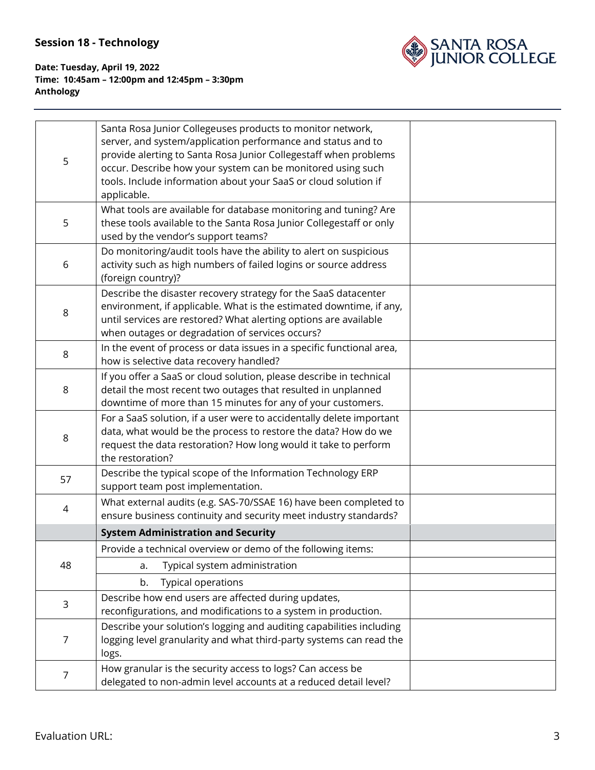

| 5              | Santa Rosa Junior Collegeuses products to monitor network,<br>server, and system/application performance and status and to<br>provide alerting to Santa Rosa Junior Collegestaff when problems<br>occur. Describe how your system can be monitored using such<br>tools. Include information about your SaaS or cloud solution if<br>applicable. |  |
|----------------|-------------------------------------------------------------------------------------------------------------------------------------------------------------------------------------------------------------------------------------------------------------------------------------------------------------------------------------------------|--|
| 5              | What tools are available for database monitoring and tuning? Are<br>these tools available to the Santa Rosa Junior Collegestaff or only<br>used by the vendor's support teams?                                                                                                                                                                  |  |
| 6              | Do monitoring/audit tools have the ability to alert on suspicious<br>activity such as high numbers of failed logins or source address<br>(foreign country)?                                                                                                                                                                                     |  |
| 8              | Describe the disaster recovery strategy for the SaaS datacenter<br>environment, if applicable. What is the estimated downtime, if any,<br>until services are restored? What alerting options are available<br>when outages or degradation of services occurs?                                                                                   |  |
| 8              | In the event of process or data issues in a specific functional area,<br>how is selective data recovery handled?                                                                                                                                                                                                                                |  |
| 8              | If you offer a SaaS or cloud solution, please describe in technical<br>detail the most recent two outages that resulted in unplanned<br>downtime of more than 15 minutes for any of your customers.                                                                                                                                             |  |
| 8              | For a SaaS solution, if a user were to accidentally delete important<br>data, what would be the process to restore the data? How do we<br>request the data restoration? How long would it take to perform<br>the restoration?                                                                                                                   |  |
| 57             | Describe the typical scope of the Information Technology ERP<br>support team post implementation.                                                                                                                                                                                                                                               |  |
| $\overline{4}$ | What external audits (e.g. SAS-70/SSAE 16) have been completed to<br>ensure business continuity and security meet industry standards?                                                                                                                                                                                                           |  |
|                | <b>System Administration and Security</b>                                                                                                                                                                                                                                                                                                       |  |
| 48             | Provide a technical overview or demo of the following items:                                                                                                                                                                                                                                                                                    |  |
|                | Typical system administration<br>a.                                                                                                                                                                                                                                                                                                             |  |
|                | Typical operations<br>b.                                                                                                                                                                                                                                                                                                                        |  |
| $\mathsf 3$    | Describe how end users are affected during updates,<br>reconfigurations, and modifications to a system in production.                                                                                                                                                                                                                           |  |
| 7              | Describe your solution's logging and auditing capabilities including<br>logging level granularity and what third-party systems can read the<br>logs.                                                                                                                                                                                            |  |
| $\overline{7}$ | How granular is the security access to logs? Can access be<br>delegated to non-admin level accounts at a reduced detail level?                                                                                                                                                                                                                  |  |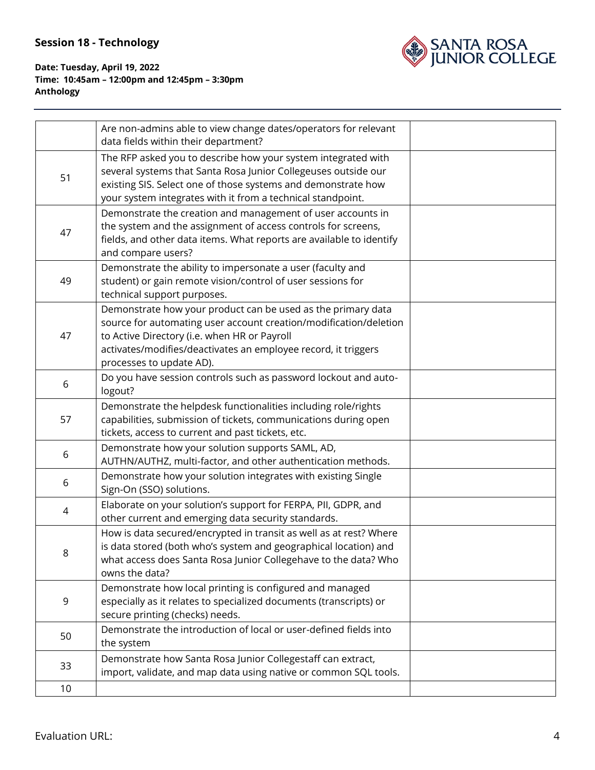

|    | Are non-admins able to view change dates/operators for relevant<br>data fields within their department?                                                                                                                                                                         |  |
|----|---------------------------------------------------------------------------------------------------------------------------------------------------------------------------------------------------------------------------------------------------------------------------------|--|
| 51 | The RFP asked you to describe how your system integrated with<br>several systems that Santa Rosa Junior Collegeuses outside our<br>existing SIS. Select one of those systems and demonstrate how<br>your system integrates with it from a technical standpoint.                 |  |
| 47 | Demonstrate the creation and management of user accounts in<br>the system and the assignment of access controls for screens,<br>fields, and other data items. What reports are available to identify<br>and compare users?                                                      |  |
| 49 | Demonstrate the ability to impersonate a user (faculty and<br>student) or gain remote vision/control of user sessions for<br>technical support purposes.                                                                                                                        |  |
| 47 | Demonstrate how your product can be used as the primary data<br>source for automating user account creation/modification/deletion<br>to Active Directory (i.e. when HR or Payroll<br>activates/modifies/deactivates an employee record, it triggers<br>processes to update AD). |  |
| 6  | Do you have session controls such as password lockout and auto-<br>logout?                                                                                                                                                                                                      |  |
| 57 | Demonstrate the helpdesk functionalities including role/rights<br>capabilities, submission of tickets, communications during open<br>tickets, access to current and past tickets, etc.                                                                                          |  |
| 6  | Demonstrate how your solution supports SAML, AD,<br>AUTHN/AUTHZ, multi-factor, and other authentication methods.                                                                                                                                                                |  |
| 6  | Demonstrate how your solution integrates with existing Single<br>Sign-On (SSO) solutions.                                                                                                                                                                                       |  |
| 4  | Elaborate on your solution's support for FERPA, PII, GDPR, and<br>other current and emerging data security standards.                                                                                                                                                           |  |
| 8  | How is data secured/encrypted in transit as well as at rest? Where<br>is data stored (both who's system and geographical location) and<br>what access does Santa Rosa Junior Collegehave to the data? Who<br>owns the data?                                                     |  |
| 9  | Demonstrate how local printing is configured and managed<br>especially as it relates to specialized documents (transcripts) or<br>secure printing (checks) needs.                                                                                                               |  |
| 50 | Demonstrate the introduction of local or user-defined fields into<br>the system                                                                                                                                                                                                 |  |
| 33 | Demonstrate how Santa Rosa Junior Collegestaff can extract,<br>import, validate, and map data using native or common SQL tools.                                                                                                                                                 |  |
| 10 |                                                                                                                                                                                                                                                                                 |  |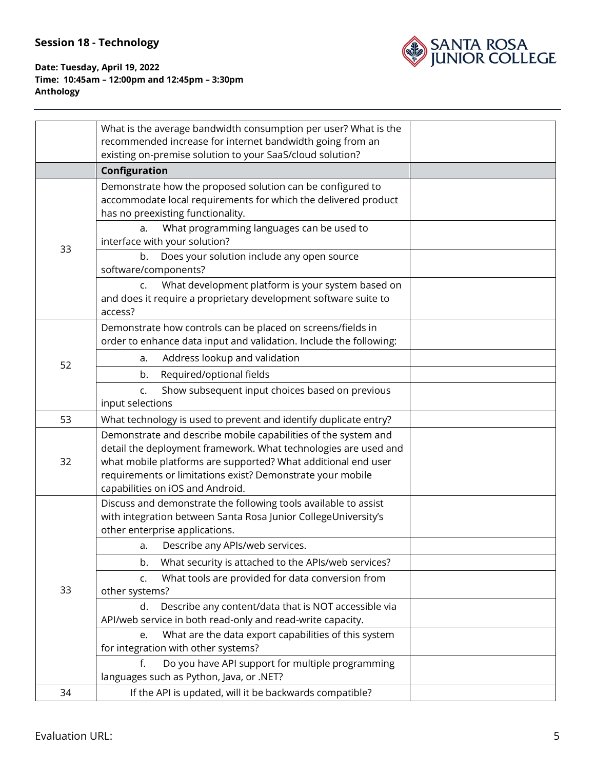

|    | What is the average bandwidth consumption per user? What is the<br>recommended increase for internet bandwidth going from an                                                                                                                                                                         |  |
|----|------------------------------------------------------------------------------------------------------------------------------------------------------------------------------------------------------------------------------------------------------------------------------------------------------|--|
|    | existing on-premise solution to your SaaS/cloud solution?                                                                                                                                                                                                                                            |  |
|    | Configuration                                                                                                                                                                                                                                                                                        |  |
| 33 | Demonstrate how the proposed solution can be configured to<br>accommodate local requirements for which the delivered product<br>has no preexisting functionality.                                                                                                                                    |  |
|    | What programming languages can be used to<br>a.<br>interface with your solution?                                                                                                                                                                                                                     |  |
|    | b.<br>Does your solution include any open source<br>software/components?                                                                                                                                                                                                                             |  |
|    | What development platform is your system based on<br>C.<br>and does it require a proprietary development software suite to<br>access?                                                                                                                                                                |  |
|    | Demonstrate how controls can be placed on screens/fields in<br>order to enhance data input and validation. Include the following:                                                                                                                                                                    |  |
| 52 | Address lookup and validation<br>a.                                                                                                                                                                                                                                                                  |  |
|    | Required/optional fields<br>b.                                                                                                                                                                                                                                                                       |  |
|    | Show subsequent input choices based on previous<br>c.<br>input selections                                                                                                                                                                                                                            |  |
| 53 | What technology is used to prevent and identify duplicate entry?                                                                                                                                                                                                                                     |  |
| 32 | Demonstrate and describe mobile capabilities of the system and<br>detail the deployment framework. What technologies are used and<br>what mobile platforms are supported? What additional end user<br>requirements or limitations exist? Demonstrate your mobile<br>capabilities on iOS and Android. |  |
| 33 | Discuss and demonstrate the following tools available to assist<br>with integration between Santa Rosa Junior CollegeUniversity's<br>other enterprise applications.                                                                                                                                  |  |
|    | Describe any APIs/web services.<br>a.                                                                                                                                                                                                                                                                |  |
|    | What security is attached to the APIs/web services?<br>b.                                                                                                                                                                                                                                            |  |
|    | What tools are provided for data conversion from<br>C <sub>1</sub><br>other systems?                                                                                                                                                                                                                 |  |
|    | Describe any content/data that is NOT accessible via<br>d.<br>API/web service in both read-only and read-write capacity.                                                                                                                                                                             |  |
|    | What are the data export capabilities of this system<br>e.<br>for integration with other systems?                                                                                                                                                                                                    |  |
|    | Do you have API support for multiple programming<br>f.<br>languages such as Python, Java, or .NET?                                                                                                                                                                                                   |  |
| 34 | If the API is updated, will it be backwards compatible?                                                                                                                                                                                                                                              |  |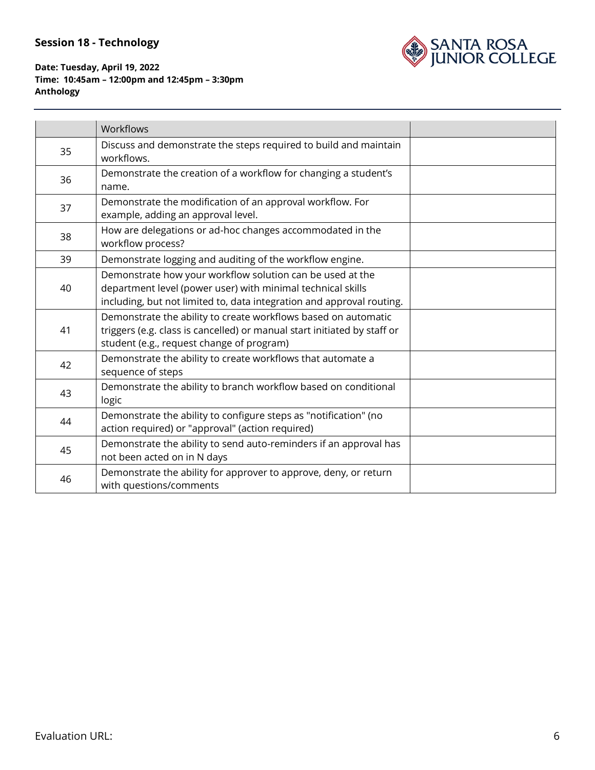

|    | <b>Workflows</b>                                                                                                                                                                                  |  |
|----|---------------------------------------------------------------------------------------------------------------------------------------------------------------------------------------------------|--|
| 35 | Discuss and demonstrate the steps required to build and maintain<br>workflows.                                                                                                                    |  |
| 36 | Demonstrate the creation of a workflow for changing a student's<br>name.                                                                                                                          |  |
| 37 | Demonstrate the modification of an approval workflow. For<br>example, adding an approval level.                                                                                                   |  |
| 38 | How are delegations or ad-hoc changes accommodated in the<br>workflow process?                                                                                                                    |  |
| 39 | Demonstrate logging and auditing of the workflow engine.                                                                                                                                          |  |
| 40 | Demonstrate how your workflow solution can be used at the<br>department level (power user) with minimal technical skills<br>including, but not limited to, data integration and approval routing. |  |
| 41 | Demonstrate the ability to create workflows based on automatic<br>triggers (e.g. class is cancelled) or manual start initiated by staff or<br>student (e.g., request change of program)           |  |
| 42 | Demonstrate the ability to create workflows that automate a<br>sequence of steps                                                                                                                  |  |
| 43 | Demonstrate the ability to branch workflow based on conditional<br>logic                                                                                                                          |  |
| 44 | Demonstrate the ability to configure steps as "notification" (no<br>action required) or "approval" (action required)                                                                              |  |
| 45 | Demonstrate the ability to send auto-reminders if an approval has<br>not been acted on in N days                                                                                                  |  |
| 46 | Demonstrate the ability for approver to approve, deny, or return<br>with questions/comments                                                                                                       |  |